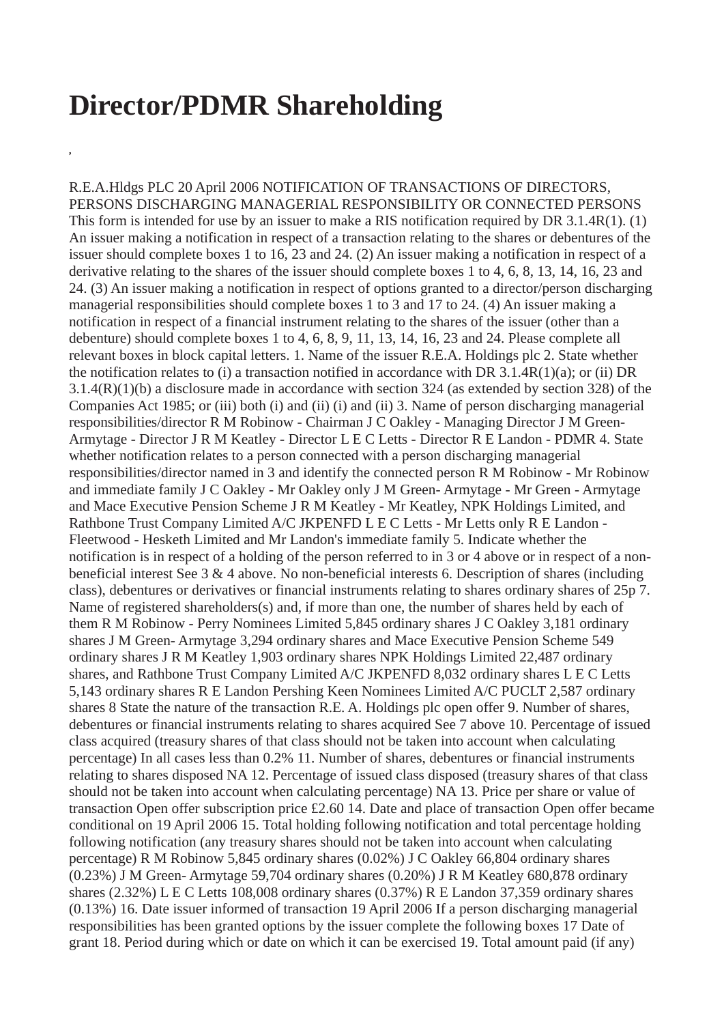## **Director/PDMR Shareholding**

**,**

R.E.A.Hldgs PLC 20 April 2006 NOTIFICATION OF TRANSACTIONS OF DIRECTORS, PERSONS DISCHARGING MANAGERIAL RESPONSIBILITY OR CONNECTED PERSONS This form is intended for use by an issuer to make a RIS notification required by DR 3.1.4R(1). (1) An issuer making a notification in respect of a transaction relating to the shares or debentures of the issuer should complete boxes 1 to 16, 23 and 24. (2) An issuer making a notification in respect of a derivative relating to the shares of the issuer should complete boxes 1 to 4, 6, 8, 13, 14, 16, 23 and 24. (3) An issuer making a notification in respect of options granted to a director/person discharging managerial responsibilities should complete boxes 1 to 3 and 17 to 24. (4) An issuer making a notification in respect of a financial instrument relating to the shares of the issuer (other than a debenture) should complete boxes 1 to 4, 6, 8, 9, 11, 13, 14, 16, 23 and 24. Please complete all relevant boxes in block capital letters. 1. Name of the issuer R.E.A. Holdings plc 2. State whether the notification relates to (i) a transaction notified in accordance with DR 3.1.4R(1)(a); or (ii) DR 3.1.4(R)(1)(b) a disclosure made in accordance with section 324 (as extended by section 328) of the Companies Act 1985; or (iii) both (i) and (ii) (i) and (ii) 3. Name of person discharging managerial responsibilities/director R M Robinow - Chairman J C Oakley - Managing Director J M Green-Armytage - Director J R M Keatley - Director L E C Letts - Director R E Landon - PDMR 4. State whether notification relates to a person connected with a person discharging managerial responsibilities/director named in 3 and identify the connected person R M Robinow - Mr Robinow and immediate family J C Oakley - Mr Oakley only J M Green- Armytage - Mr Green - Armytage and Mace Executive Pension Scheme J R M Keatley - Mr Keatley, NPK Holdings Limited, and Rathbone Trust Company Limited A/C JKPENFD L E C Letts - Mr Letts only R E Landon - Fleetwood - Hesketh Limited and Mr Landon's immediate family 5. Indicate whether the notification is in respect of a holding of the person referred to in 3 or 4 above or in respect of a nonbeneficial interest See 3 & 4 above. No non-beneficial interests 6. Description of shares (including class), debentures or derivatives or financial instruments relating to shares ordinary shares of 25p 7. Name of registered shareholders(s) and, if more than one, the number of shares held by each of them R M Robinow - Perry Nominees Limited 5,845 ordinary shares J C Oakley 3,181 ordinary shares J M Green- Armytage 3,294 ordinary shares and Mace Executive Pension Scheme 549 ordinary shares J R M Keatley 1,903 ordinary shares NPK Holdings Limited 22,487 ordinary shares, and Rathbone Trust Company Limited A/C JKPENFD 8,032 ordinary shares L E C Letts 5,143 ordinary shares R E Landon Pershing Keen Nominees Limited A/C PUCLT 2,587 ordinary shares 8 State the nature of the transaction R.E. A. Holdings plc open offer 9. Number of shares, debentures or financial instruments relating to shares acquired See 7 above 10. Percentage of issued class acquired (treasury shares of that class should not be taken into account when calculating percentage) In all cases less than 0.2% 11. Number of shares, debentures or financial instruments relating to shares disposed NA 12. Percentage of issued class disposed (treasury shares of that class should not be taken into account when calculating percentage) NA 13. Price per share or value of transaction Open offer subscription price £2.60 14. Date and place of transaction Open offer became conditional on 19 April 2006 15. Total holding following notification and total percentage holding following notification (any treasury shares should not be taken into account when calculating percentage) R M Robinow 5,845 ordinary shares (0.02%) J C Oakley 66,804 ordinary shares (0.23%) J M Green- Armytage 59,704 ordinary shares (0.20%) J R M Keatley 680,878 ordinary shares (2.32%) L E C Letts 108,008 ordinary shares (0.37%) R E Landon 37,359 ordinary shares (0.13%) 16. Date issuer informed of transaction 19 April 2006 If a person discharging managerial responsibilities has been granted options by the issuer complete the following boxes 17 Date of grant 18. Period during which or date on which it can be exercised 19. Total amount paid (if any)